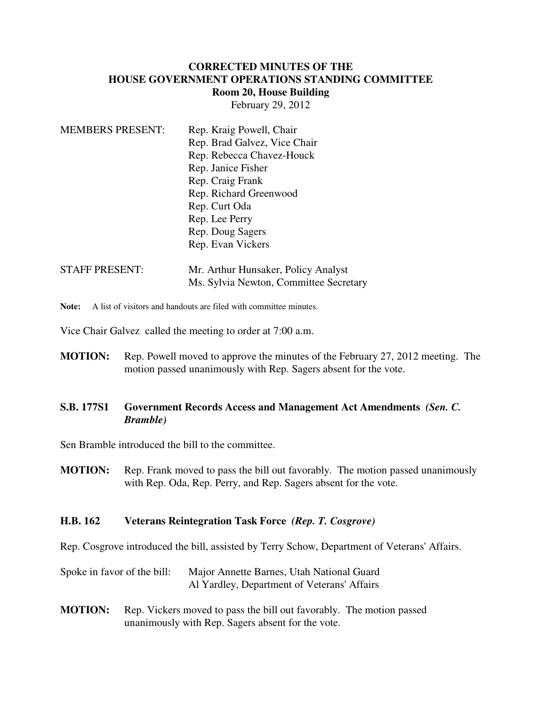### **CORRECTED MINUTES OF THE HOUSE GOVERNMENT OPERATIONS STANDING COMMITTEE Room 20, House Building**

February 29, 2012

| <b>MEMBERS PRESENT:</b> | Rep. Kraig Powell, Chair               |
|-------------------------|----------------------------------------|
|                         | Rep. Brad Galvez, Vice Chair           |
|                         | Rep. Rebecca Chavez-Houck              |
|                         | Rep. Janice Fisher                     |
|                         | Rep. Craig Frank                       |
|                         | Rep. Richard Greenwood                 |
|                         | Rep. Curt Oda                          |
|                         | Rep. Lee Perry                         |
|                         | Rep. Doug Sagers                       |
|                         | Rep. Evan Vickers                      |
| <b>STAFF PRESENT:</b>   | Mr. Arthur Hunsaker, Policy Analyst    |
|                         | Ms. Sylvia Newton, Committee Secretary |

**Note:** A list of visitors and handouts are filed with committee minutes.

Vice Chair Galvez called the meeting to order at 7:00 a.m.

**MOTION:** Rep. Powell moved to approve the minutes of the February 27, 2012 meeting. The motion passed unanimously with Rep. Sagers absent for the vote.

### **S.B. 177S1 Government Records Access and Management Act Amendments** *(Sen. C. Bramble)*

Sen Bramble introduced the bill to the committee.

**MOTION:** Rep. Frank moved to pass the bill out favorably. The motion passed unanimously with Rep. Oda, Rep. Perry, and Rep. Sagers absent for the vote.

#### **H.B. 162 Veterans Reintegration Task Force** *(Rep. T. Cosgrove)*

Rep. Cosgrove introduced the bill, assisted by Terry Schow, Department of Veterans' Affairs.

Spoke in favor of the bill: Major Annette Barnes, Utah National Guard Al Yardley, Department of Veterans' Affairs

**MOTION:** Rep. Vickers moved to pass the bill out favorably. The motion passed unanimously with Rep. Sagers absent for the vote.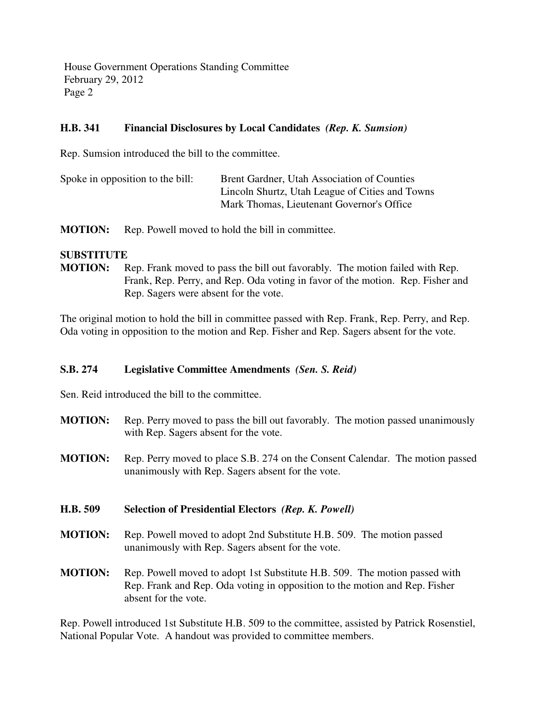House Government Operations Standing Committee February 29, 2012 Page 2

## **H.B. 341 Financial Disclosures by Local Candidates** *(Rep. K. Sumsion)*

Rep. Sumsion introduced the bill to the committee.

| Spoke in opposition to the bill: | Brent Gardner, Utah Association of Counties     |
|----------------------------------|-------------------------------------------------|
|                                  | Lincoln Shurtz, Utah League of Cities and Towns |
|                                  | Mark Thomas, Lieutenant Governor's Office       |

**MOTION:** Rep. Powell moved to hold the bill in committee.

### **SUBSTITUTE**

**MOTION:** Rep. Frank moved to pass the bill out favorably. The motion failed with Rep. Frank, Rep. Perry, and Rep. Oda voting in favor of the motion. Rep. Fisher and Rep. Sagers were absent for the vote.

The original motion to hold the bill in committee passed with Rep. Frank, Rep. Perry, and Rep. Oda voting in opposition to the motion and Rep. Fisher and Rep. Sagers absent for the vote.

## **S.B. 274 Legislative Committee Amendments** *(Sen. S. Reid)*

Sen. Reid introduced the bill to the committee.

- **MOTION:** Rep. Perry moved to pass the bill out favorably. The motion passed unanimously with Rep. Sagers absent for the vote.
- **MOTION:** Rep. Perry moved to place S.B. 274 on the Consent Calendar. The motion passed unanimously with Rep. Sagers absent for the vote.

## **H.B. 509 Selection of Presidential Electors** *(Rep. K. Powell)*

- **MOTION:** Rep. Powell moved to adopt 2nd Substitute H.B. 509. The motion passed unanimously with Rep. Sagers absent for the vote.
- **MOTION:** Rep. Powell moved to adopt 1st Substitute H.B. 509. The motion passed with Rep. Frank and Rep. Oda voting in opposition to the motion and Rep. Fisher absent for the vote.

Rep. Powell introduced 1st Substitute H.B. 509 to the committee, assisted by Patrick Rosenstiel, National Popular Vote. A handout was provided to committee members.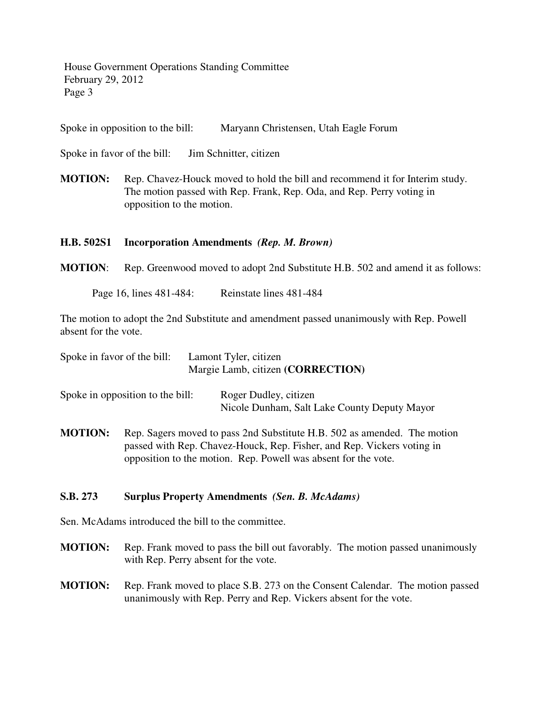House Government Operations Standing Committee February 29, 2012 Page 3

Spoke in opposition to the bill: Maryann Christensen, Utah Eagle Forum

Spoke in favor of the bill: Jim Schnitter, citizen

**MOTION:** Rep. Chavez-Houck moved to hold the bill and recommend it for Interim study. The motion passed with Rep. Frank, Rep. Oda, and Rep. Perry voting in opposition to the motion.

#### **H.B. 502S1 Incorporation Amendments** *(Rep. M. Brown)*

**MOTION**: Rep. Greenwood moved to adopt 2nd Substitute H.B. 502 and amend it as follows:

Page 16, lines 481-484: Reinstate lines 481-484

The motion to adopt the 2nd Substitute and amendment passed unanimously with Rep. Powell absent for the vote.

| Spoke in favor of the bill:      | Lamont Tyler, citizen<br>Margie Lamb, citizen (CORRECTION) |                                                                       |  |
|----------------------------------|------------------------------------------------------------|-----------------------------------------------------------------------|--|
| Spoke in opposition to the bill: |                                                            | Roger Dudley, citizen<br>Nicole Dunham, Salt Lake County Deputy Mayor |  |

**MOTION:** Rep. Sagers moved to pass 2nd Substitute H.B. 502 as amended. The motion passed with Rep. Chavez-Houck, Rep. Fisher, and Rep. Vickers voting in opposition to the motion. Rep. Powell was absent for the vote.

#### **S.B. 273 Surplus Property Amendments** *(Sen. B. McAdams)*

Sen. McAdams introduced the bill to the committee.

- **MOTION:** Rep. Frank moved to pass the bill out favorably. The motion passed unanimously with Rep. Perry absent for the vote.
- **MOTION:** Rep. Frank moved to place S.B. 273 on the Consent Calendar. The motion passed unanimously with Rep. Perry and Rep. Vickers absent for the vote.